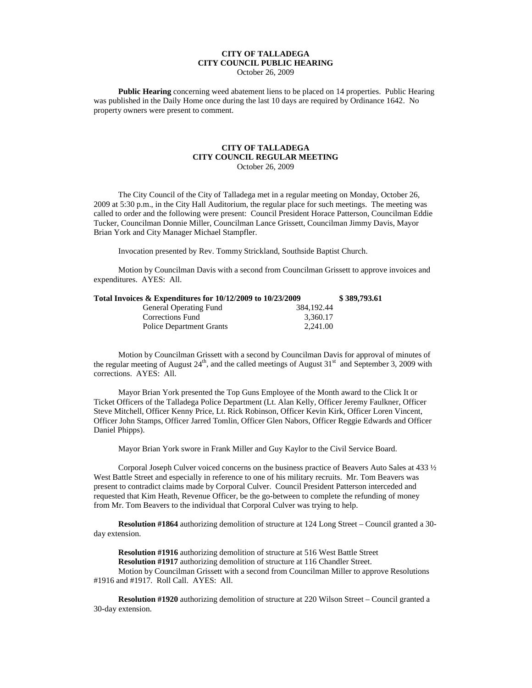## **CITY OF TALLADEGA CITY COUNCIL PUBLIC HEARING**

October 26, 2009

**Public Hearing** concerning weed abatement liens to be placed on 14 properties. Public Hearing was published in the Daily Home once during the last 10 days are required by Ordinance 1642. No property owners were present to comment.

## **CITY OF TALLADEGA CITY COUNCIL REGULAR MEETING** October 26, 2009

The City Council of the City of Talladega met in a regular meeting on Monday, October 26, 2009 at 5:30 p.m., in the City Hall Auditorium, the regular place for such meetings. The meeting was called to order and the following were present: Council President Horace Patterson, Councilman Eddie Tucker, Councilman Donnie Miller, Councilman Lance Grissett, Councilman Jimmy Davis, Mayor Brian York and City Manager Michael Stampfler.

Invocation presented by Rev. Tommy Strickland, Southside Baptist Church.

Motion by Councilman Davis with a second from Councilman Grissett to approve invoices and expenditures. AYES: All.

| Total Invoices $\&$ Expenditures for 10/12/2009 to 10/23/2009 |            | \$389,793.61 |
|---------------------------------------------------------------|------------|--------------|
| General Operating Fund                                        | 384.192.44 |              |
| Corrections Fund                                              | 3.360.17   |              |
| <b>Police Department Grants</b>                               | 2.241.00   |              |

Motion by Councilman Grissett with a second by Councilman Davis for approval of minutes of the regular meeting of August  $24<sup>th</sup>$ , and the called meetings of August  $31<sup>st</sup>$  and September 3, 2009 with corrections. AYES: All.

Mayor Brian York presented the Top Guns Employee of the Month award to the Click It or Ticket Officers of the Talladega Police Department (Lt. Alan Kelly, Officer Jeremy Faulkner, Officer Steve Mitchell, Officer Kenny Price, Lt. Rick Robinson, Officer Kevin Kirk, Officer Loren Vincent, Officer John Stamps, Officer Jarred Tomlin, Officer Glen Nabors, Officer Reggie Edwards and Officer Daniel Phipps).

Mayor Brian York swore in Frank Miller and Guy Kaylor to the Civil Service Board.

Corporal Joseph Culver voiced concerns on the business practice of Beavers Auto Sales at 433 ½ West Battle Street and especially in reference to one of his military recruits. Mr. Tom Beavers was present to contradict claims made by Corporal Culver. Council President Patterson interceded and requested that Kim Heath, Revenue Officer, be the go-between to complete the refunding of money from Mr. Tom Beavers to the individual that Corporal Culver was trying to help.

**Resolution #1864** authorizing demolition of structure at 124 Long Street – Council granted a 30 day extension.

**Resolution #1916** authorizing demolition of structure at 516 West Battle Street **Resolution #1917** authorizing demolition of structure at 116 Chandler Street. Motion by Councilman Grissett with a second from Councilman Miller to approve Resolutions #1916 and #1917. Roll Call. AYES: All.

**Resolution #1920** authorizing demolition of structure at 220 Wilson Street – Council granted a 30-day extension.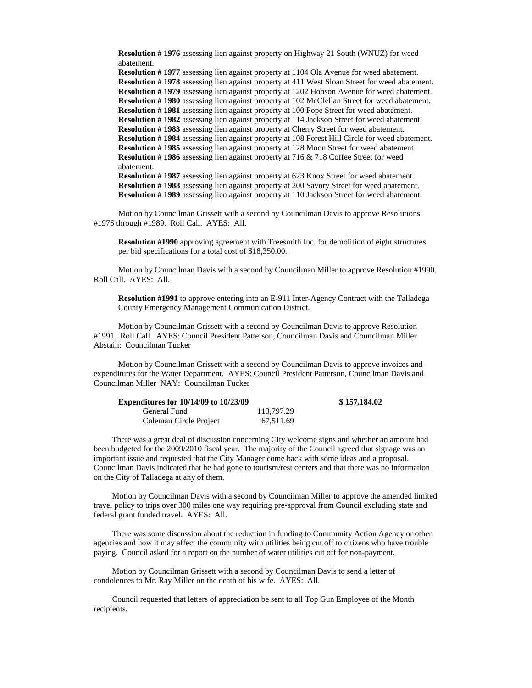**Resolution # 1976** assessing lien against property on Highway 21 South (WNUZ) for weed abatement.

**Resolution # 1977** assessing lien against property at 1104 Ola Avenue for weed abatement. **Resolution # 1978** assessing lien against property at 411 West Sloan Street for weed abatement. **Resolution # 1979** assessing lien against property at 1202 Hobson Avenue for weed abatement. **Resolution # 1980** assessing lien against property at 102 McClellan Street for weed abatement. **Resolution # 1981** assessing lien against property at 100 Pope Street for weed abatement. **Resolution # 1982** assessing lien against property at 114 Jackson Street for weed abatement. **Resolution # 1983** assessing lien against property at Cherry Street for weed abatement. **Resolution # 1984** assessing lien against property at 108 Forest Hill Circle for weed abatement. **Resolution # 1985** assessing lien against property at 128 Moon Street for weed abatement. **Resolution # 1986** assessing lien against property at 716 & 718 Coffee Street for weed abatement. **Resolution # 1987** assessing lien against property at 623 Knox Street for weed abatement.

**Resolution # 1988** assessing lien against property at 200 Savory Street for weed abatement. **Resolution # 1989** assessing lien against property at 110 Jackson Street for weed abatement.

Motion by Councilman Grissett with a second by Councilman Davis to approve Resolutions #1976 through #1989. Roll Call. AYES: All.

**Resolution #1990** approving agreement with Treesmith Inc. for demolition of eight structures per bid specifications for a total cost of \$18,350.00.

Motion by Councilman Davis with a second by Councilman Miller to approve Resolution #1990. Roll Call. AYES: All.

**Resolution #1991** to approve entering into an E-911 Inter-Agency Contract with the Talladega County Emergency Management Communication District.

Motion by Councilman Grissett with a second by Councilman Davis to approve Resolution #1991. Roll Call. AYES: Council President Patterson, Councilman Davis and Councilman Miller Abstain: Councilman Tucker

Motion by Councilman Grissett with a second by Councilman Davis to approve invoices and expenditures for the Water Department. AYES: Council President Patterson, Councilman Davis and Councilman Miller NAY: Councilman Tucker

| <b>Expenditures for 10/14/09 to 10/23/09</b> |            | \$157,184.02 |
|----------------------------------------------|------------|--------------|
| General Fund                                 | 113.797.29 |              |
| Coleman Circle Project                       | 67.511.69  |              |

There was a great deal of discussion concerning City welcome signs and whether an amount had been budgeted for the 2009/2010 fiscal year. The majority of the Council agreed that signage was an important issue and requested that the City Manager come back with some ideas and a proposal. Councilman Davis indicated that he had gone to tourism/rest centers and that there was no information on the City of Talladega at any of them.

Motion by Councilman Davis with a second by Councilman Miller to approve the amended limited travel policy to trips over 300 miles one way requiring pre-approval from Council excluding state and federal grant funded travel. AYES: All.

There was some discussion about the reduction in funding to Community Action Agency or other agencies and how it may affect the community with utilities being cut off to citizens who have trouble paying. Council asked for a report on the number of water utilities cut off for non-payment.

Motion by Councilman Grissett with a second by Councilman Davis to send a letter of condolences to Mr. Ray Miller on the death of his wife. AYES: All.

Council requested that letters of appreciation be sent to all Top Gun Employee of the Month recipients.